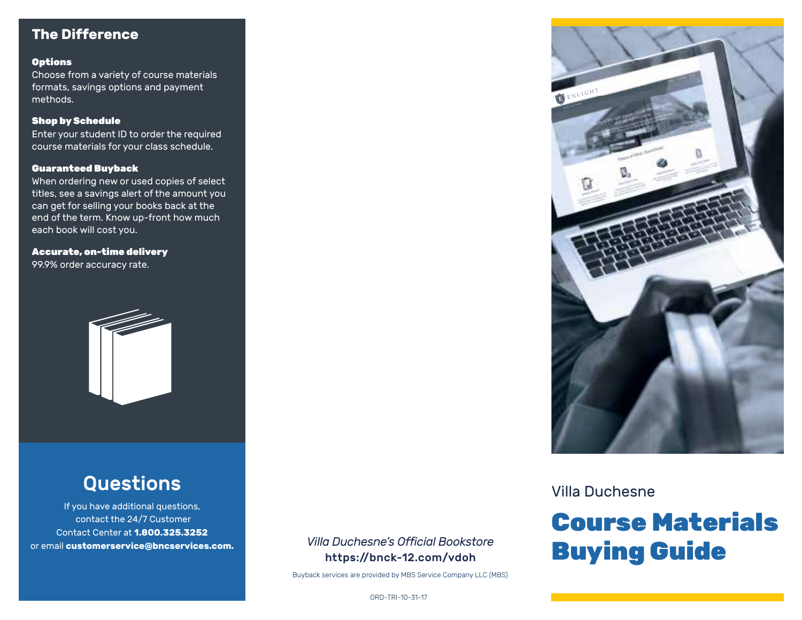# **The Difference**

#### **Options**

Choose from a variety of course materials formats, savings options and payment methods.

#### Shop by Schedule

Enter your student ID to order the required course materials for your class schedule.

#### Guaranteed Buyback

When ordering new or used copies of select titles, see a savings alert of the amount you can get for selling your books back at the end of the term. Know up-front how much each book will cost you.

Accurate, on-time delivery 99.9% order accuracy rate.



# Questions

If you have additional questions, contact the 24/7 Customer Contact Center at **1.800.325.3252** or email **customerservice@bncservices.com.** *Villa Duchesne's Official Bookstore*

# https://bnck-12.com/vdoh

Buyback services are provided by MBS Service Company LLC (MBS)



Villa Duchesne

# Course Materials Buying Guide

ORD-TRI-10-31-17